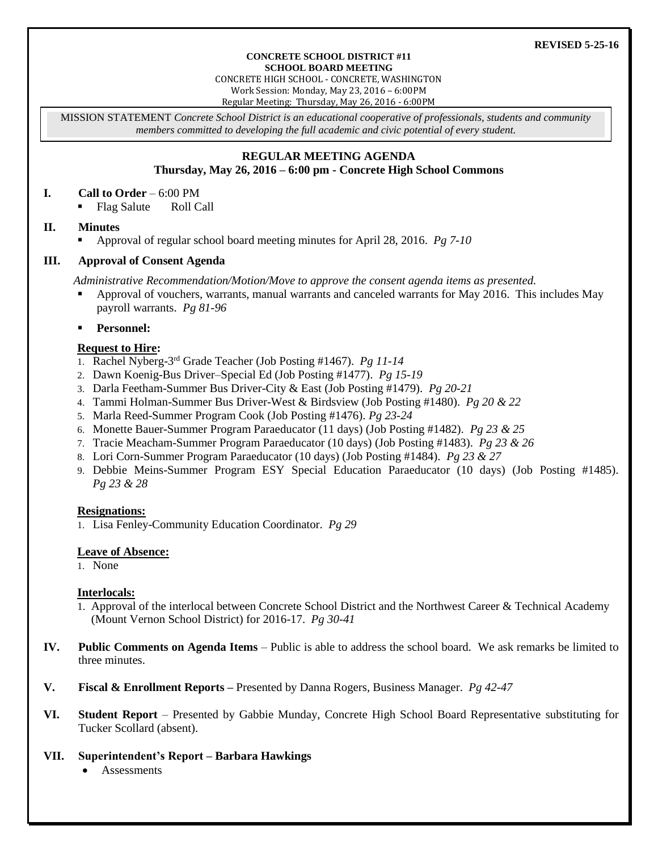#### **CONCRETE SCHOOL DISTRICT #11 SCHOOL BOARD MEETING**

CONCRETE HIGH SCHOOL - CONCRETE, WASHINGTON

Work Session: Monday, May 23, 2016 – 6:00PM

Regular Meeting: Thursday, May 26, 2016 - 6:00PM

MISSION STATEMENT *Concrete School District is an educational cooperative of professionals, students and community members committed to developing the full academic and civic potential of every student.*

# **REGULAR MEETING AGENDA**

### **Thursday, May 26, 2016 – 6:00 pm - Concrete High School Commons**

### **I. Call to Order** – 6:00 PM

Flag Salute Roll Call

# **II. Minutes**

Approval of regular school board meeting minutes for April 28, 2016. *Pg 7-10*

# **III. Approval of Consent Agenda**

*Administrative Recommendation/Motion/Move to approve the consent agenda items as presented.*

- Approval of vouchers, warrants, manual warrants and canceled warrants for May 2016. This includes May payroll warrants. *Pg 81-96*
- **Personnel:**

# **Request to Hire:**

- 1. Rachel Nyberg-3 rd Grade Teacher (Job Posting #1467). *Pg 11-14*
- 2. Dawn Koenig-Bus Driver–Special Ed (Job Posting #1477). *Pg 15-19*
- 3. Darla Feetham-Summer Bus Driver-City & East (Job Posting #1479). *Pg 20-21*
- 4. Tammi Holman-Summer Bus Driver-West & Birdsview (Job Posting #1480). *Pg 20 & 22*
- 5. Marla Reed-Summer Program Cook (Job Posting #1476). *Pg 23-24*
- 6. Monette Bauer-Summer Program Paraeducator (11 days) (Job Posting #1482). *Pg 23 & 25*
- 7. Tracie Meacham-Summer Program Paraeducator (10 days) (Job Posting #1483). *Pg 23 & 26*
- 8. Lori Corn-Summer Program Paraeducator (10 days) (Job Posting #1484). *Pg 23 & 27*
- 9. Debbie Meins-Summer Program ESY Special Education Paraeducator (10 days) (Job Posting #1485). *Pg 23 & 28*

# **Resignations:**

1. Lisa Fenley-Community Education Coordinator. *Pg 29*

### **Leave of Absence:**

1. None

### **Interlocals:**

- 1. Approval of the interlocal between Concrete School District and the Northwest Career & Technical Academy (Mount Vernon School District) for 2016-17. *Pg 30-41*
- **IV. Public Comments on Agenda Items** Public is able to address the school board. We ask remarks be limited to three minutes.
- **V. Fiscal & Enrollment Reports –** Presented by Danna Rogers, Business Manager. *Pg 42-47*
- **VI. Student Report** Presented by Gabbie Munday, Concrete High School Board Representative substituting for Tucker Scollard (absent).

### **VII. Superintendent's Report – Barbara Hawkings**

**Assessments**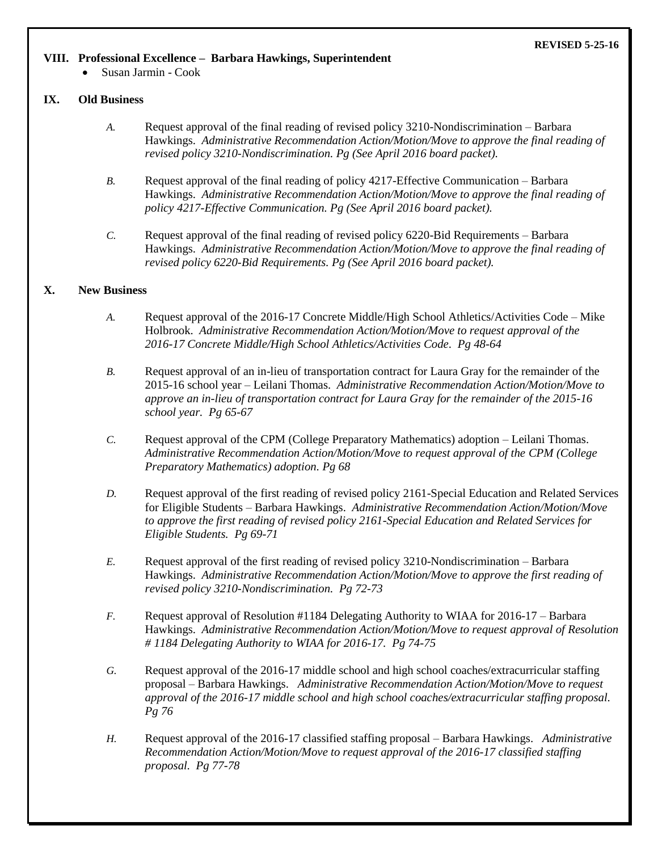#### **REVISED 5-25-16**

#### **VIII. Professional Excellence – Barbara Hawkings, Superintendent**

Susan Jarmin - Cook

### **IX. Old Business**

- *A.* Request approval of the final reading of revised policy 3210-Nondiscrimination Barbara Hawkings. *Administrative Recommendation Action/Motion/Move to approve the final reading of revised policy 3210-Nondiscrimination. Pg (See April 2016 board packet).*
- *B.* Request approval of the final reading of policy 4217-Effective Communication Barbara Hawkings. *Administrative Recommendation Action/Motion/Move to approve the final reading of policy 4217-Effective Communication. Pg (See April 2016 board packet).*
- *C.* Request approval of the final reading of revised policy 6220-Bid Requirements Barbara Hawkings. *Administrative Recommendation Action/Motion/Move to approve the final reading of revised policy 6220-Bid Requirements. Pg (See April 2016 board packet).*

### **X. New Business**

- *A.* Request approval of the 2016-17 Concrete Middle/High School Athletics/Activities Code Mike Holbrook. *Administrative Recommendation Action/Motion/Move to request approval of the 2016-17 Concrete Middle/High School Athletics/Activities Code. Pg 48-64*
- *B.* Request approval of an in-lieu of transportation contract for Laura Gray for the remainder of the 2015-16 school year – Leilani Thomas. *Administrative Recommendation Action/Motion/Move to approve an in-lieu of transportation contract for Laura Gray for the remainder of the 2015-16 school year. Pg 65-67*
- *C.* Request approval of the CPM (College Preparatory Mathematics) adoption Leilani Thomas. *Administrative Recommendation Action/Motion/Move to request approval of the CPM (College Preparatory Mathematics) adoption. Pg 68*
- *D.* Request approval of the first reading of revised policy 2161-Special Education and Related Services for Eligible Students – Barbara Hawkings. *Administrative Recommendation Action/Motion/Move to approve the first reading of revised policy 2161-Special Education and Related Services for Eligible Students. Pg 69-71*
- *E.* Request approval of the first reading of revised policy 3210-Nondiscrimination Barbara Hawkings. *Administrative Recommendation Action/Motion/Move to approve the first reading of revised policy 3210-Nondiscrimination. Pg 72-73*
- *F.* Request approval of Resolution #1184 Delegating Authority to WIAA for 2016-17 Barbara Hawkings. *Administrative Recommendation Action/Motion/Move to request approval of Resolution # 1184 Delegating Authority to WIAA for 2016-17. Pg 74-75*
- *G.* Request approval of the 2016-17 middle school and high school coaches/extracurricular staffing proposal – Barbara Hawkings. *Administrative Recommendation Action/Motion/Move to request approval of the 2016-17 middle school and high school coaches/extracurricular staffing proposal. Pg 76*
- *H.* Request approval of the 2016-17 classified staffing proposal Barbara Hawkings. *Administrative Recommendation Action/Motion/Move to request approval of the 2016-17 classified staffing proposal. Pg 77-78*